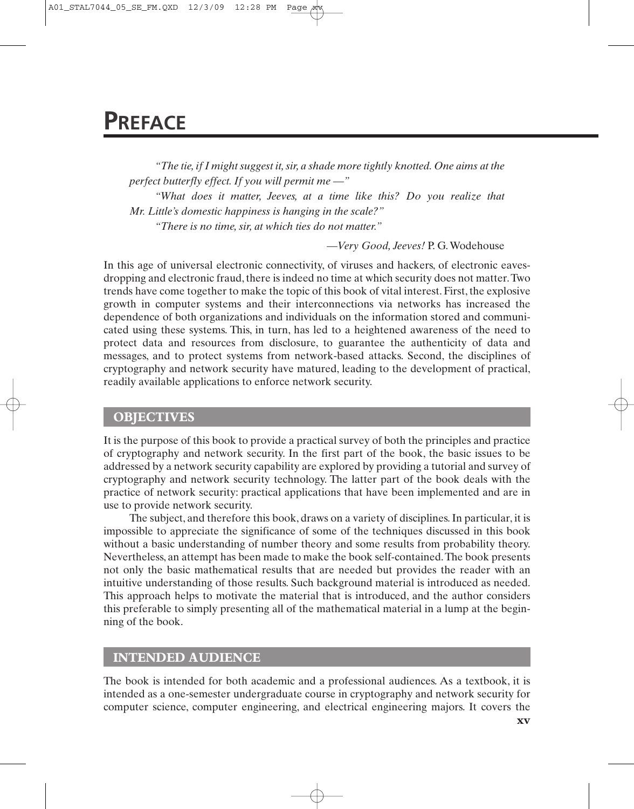# **PREFACE**

*"The tie, if I might suggest it, sir, a shade more tightly knotted. One aims at the perfect butterfly effect. If you will permit me —"*

*"What does it matter, Jeeves, at a time like this? Do you realize that Mr. Little's domestic happiness is hanging in the scale?" "There is no time, sir, at which ties do not matter."*

—*Very Good, Jeeves!* P. G. Wodehouse

In this age of universal electronic connectivity, of viruses and hackers, of electronic eavesdropping and electronic fraud, there is indeed no time at which security does not matter.Two trends have come together to make the topic of this book of vital interest. First, the explosive growth in computer systems and their interconnections via networks has increased the dependence of both organizations and individuals on the information stored and communicated using these systems. This, in turn, has led to a heightened awareness of the need to protect data and resources from disclosure, to guarantee the authenticity of data and messages, and to protect systems from network-based attacks. Second, the disciplines of cryptography and network security have matured, leading to the development of practical, readily available applications to enforce network security.

# **OBJECTIVES**

It is the purpose of this book to provide a practical survey of both the principles and practice of cryptography and network security. In the first part of the book, the basic issues to be addressed by a network security capability are explored by providing a tutorial and survey of cryptography and network security technology. The latter part of the book deals with the practice of network security: practical applications that have been implemented and are in use to provide network security.

The subject, and therefore this book, draws on a variety of disciplines. In particular, it is impossible to appreciate the significance of some of the techniques discussed in this book without a basic understanding of number theory and some results from probability theory. Nevertheless, an attempt has been made to make the book self-contained.The book presents not only the basic mathematical results that are needed but provides the reader with an intuitive understanding of those results. Such background material is introduced as needed. This approach helps to motivate the material that is introduced, and the author considers this preferable to simply presenting all of the mathematical material in a lump at the beginning of the book.

# **INTENDED AUDIENCE**

The book is intended for both academic and a professional audiences. As a textbook, it is intended as a one-semester undergraduate course in cryptography and network security for computer science, computer engineering, and electrical engineering majors. It covers the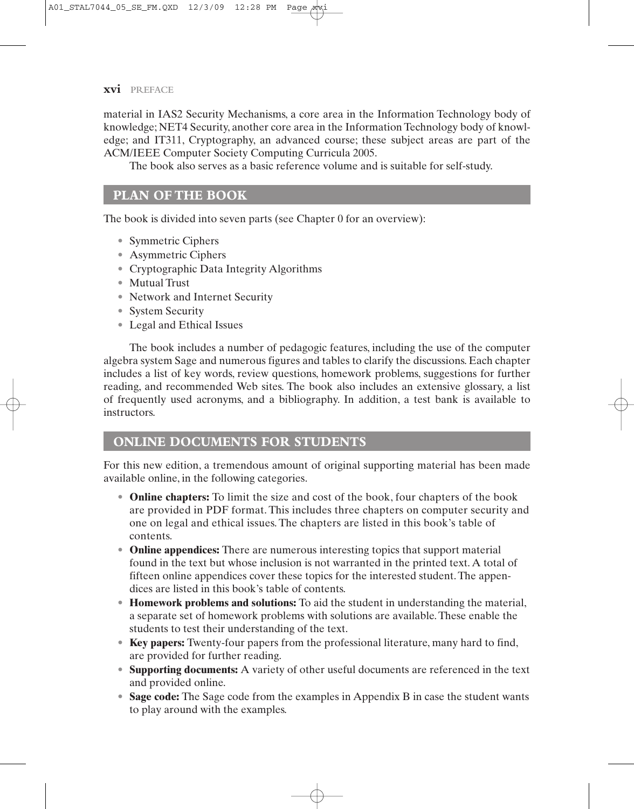#### **xvi PREFACE**

material in IAS2 Security Mechanisms, a core area in the Information Technology body of knowledge; NET4 Security, another core area in the Information Technology body of knowledge; and IT311, Cryptography, an advanced course; these subject areas are part of the ACM/IEEE Computer Society Computing Curricula 2005.

The book also serves as a basic reference volume and is suitable for self-study.

# **PLAN OF THE BOOK**

The book is divided into seven parts (see Chapter 0 for an overview):

- Symmetric Ciphers
- Asymmetric Ciphers
- Cryptographic Data Integrity Algorithms
- Mutual Trust
- Network and Internet Security
- System Security
- Legal and Ethical Issues

The book includes a number of pedagogic features, including the use of the computer algebra system Sage and numerous figures and tables to clarify the discussions. Each chapter includes a list of key words, review questions, homework problems, suggestions for further reading, and recommended Web sites. The book also includes an extensive glossary, a list of frequently used acronyms, and a bibliography. In addition, a test bank is available to instructors.

### **ONLINE DOCUMENTS FOR STUDENTS**

For this new edition, a tremendous amount of original supporting material has been made available online, in the following categories.

- **Online chapters:** To limit the size and cost of the book, four chapters of the book are provided in PDF format. This includes three chapters on computer security and one on legal and ethical issues. The chapters are listed in this book's table of contents.
- **Online appendices:** There are numerous interesting topics that support material found in the text but whose inclusion is not warranted in the printed text. A total of fifteen online appendices cover these topics for the interested student. The appendices are listed in this book's table of contents.
- **Homework problems and solutions:** To aid the student in understanding the material, a separate set of homework problems with solutions are available. These enable the students to test their understanding of the text.
- **Key papers:** Twenty-four papers from the professional literature, many hard to find, are provided for further reading.
- **Supporting documents:** A variety of other useful documents are referenced in the text and provided online.
- **Sage code:** The Sage code from the examples in Appendix B in case the student wants to play around with the examples.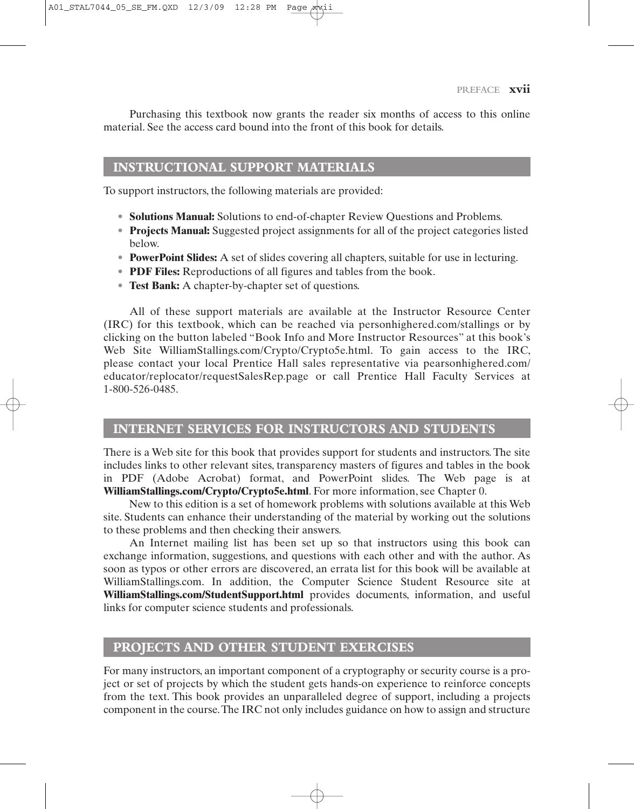Purchasing this textbook now grants the reader six months of access to this online material. See the access card bound into the front of this book for details.

# **INSTRUCTIONAL SUPPORT MATERIALS**

To support instructors, the following materials are provided:

- **Solutions Manual:** Solutions to end-of-chapter Review Questions and Problems.
- **Projects Manual:** Suggested project assignments for all of the project categories listed below.
- **PowerPoint Slides:** A set of slides covering all chapters, suitable for use in lecturing.
- **PDF Files:** Reproductions of all figures and tables from the book.
- **Test Bank:** A chapter-by-chapter set of questions.

All of these support materials are available at the Instructor Resource Center (IRC) for this textbook, which can be reached via personhighered.com/stallings or by clicking on the button labeled "Book Info and More Instructor Resources" at this book's Web Site WilliamStallings.com/Crypto/Crypto5e.html. To gain access to the IRC, please contact your local Prentice Hall sales representative via pearsonhighered.com/ educator/replocator/requestSalesRep.page or call Prentice Hall Faculty Services at 1-800-526-0485.

# **INTERNET SERVICES FOR INSTRUCTORS AND STUDENTS**

There is a Web site for this book that provides support for students and instructors. The site includes links to other relevant sites, transparency masters of figures and tables in the book in PDF (Adobe Acrobat) format, and PowerPoint slides. The Web page is at **WilliamStallings.com/Crypto/Crypto5e.html**. For more information, see Chapter 0.

New to this edition is a set of homework problems with solutions available at this Web site. Students can enhance their understanding of the material by working out the solutions to these problems and then checking their answers.

An Internet mailing list has been set up so that instructors using this book can exchange information, suggestions, and questions with each other and with the author. As soon as typos or other errors are discovered, an errata list for this book will be available at WilliamStallings.com. In addition, the Computer Science Student Resource site at **WilliamStallings.com/StudentSupport.html** provides documents, information, and useful links for computer science students and professionals.

#### **PROJECTS AND OTHER STUDENT EXERCISES**

For many instructors, an important component of a cryptography or security course is a project or set of projects by which the student gets hands-on experience to reinforce concepts from the text. This book provides an unparalleled degree of support, including a projects component in the course.The IRC not only includes guidance on how to assign and structure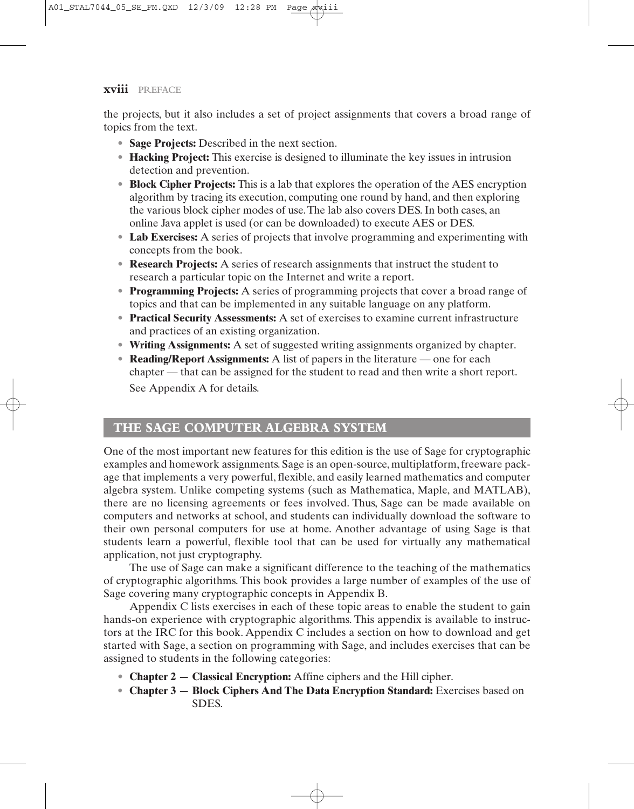#### **xviii PREFACE**

the projects, but it also includes a set of project assignments that covers a broad range of topics from the text.

- **Sage Projects:** Described in the next section.
- **Hacking Project:** This exercise is designed to illuminate the key issues in intrusion detection and prevention.
- **Block Cipher Projects:** This is a lab that explores the operation of the AES encryption algorithm by tracing its execution, computing one round by hand, and then exploring the various block cipher modes of use. The lab also covers DES. In both cases, an online Java applet is used (or can be downloaded) to execute AES or DES.
- **Lab Exercises:** A series of projects that involve programming and experimenting with concepts from the book.
- **Research Projects:** A series of research assignments that instruct the student to research a particular topic on the Internet and write a report.
- **Programming Projects:** A series of programming projects that cover a broad range of topics and that can be implemented in any suitable language on any platform.
- **Practical Security Assessments:** A set of exercises to examine current infrastructure and practices of an existing organization.
- **Writing Assignments:** A set of suggested writing assignments organized by chapter.
- **Reading/Report Assignments:** A list of papers in the literature one for each chapter — that can be assigned for the student to read and then write a short report. See Appendix A for details.

# **THE SAGE COMPUTER ALGEBRA SYSTEM**

One of the most important new features for this edition is the use of Sage for cryptographic examples and homework assignments. Sage is an open-source, multiplatform, freeware package that implements a very powerful, flexible, and easily learned mathematics and computer algebra system. Unlike competing systems (such as Mathematica, Maple, and MATLAB), there are no licensing agreements or fees involved. Thus, Sage can be made available on computers and networks at school, and students can individually download the software to their own personal computers for use at home. Another advantage of using Sage is that students learn a powerful, flexible tool that can be used for virtually any mathematical application, not just cryptography.

The use of Sage can make a significant difference to the teaching of the mathematics of cryptographic algorithms. This book provides a large number of examples of the use of Sage covering many cryptographic concepts in Appendix B.

Appendix C lists exercises in each of these topic areas to enable the student to gain hands-on experience with cryptographic algorithms. This appendix is available to instructors at the IRC for this book. Appendix C includes a section on how to download and get started with Sage, a section on programming with Sage, and includes exercises that can be assigned to students in the following categories:

- **Chapter 2 Classical Encryption:** Affine ciphers and the Hill cipher.
- **Chapter 3 Block Ciphers And The Data Encryption Standard:** Exercises based on SDES.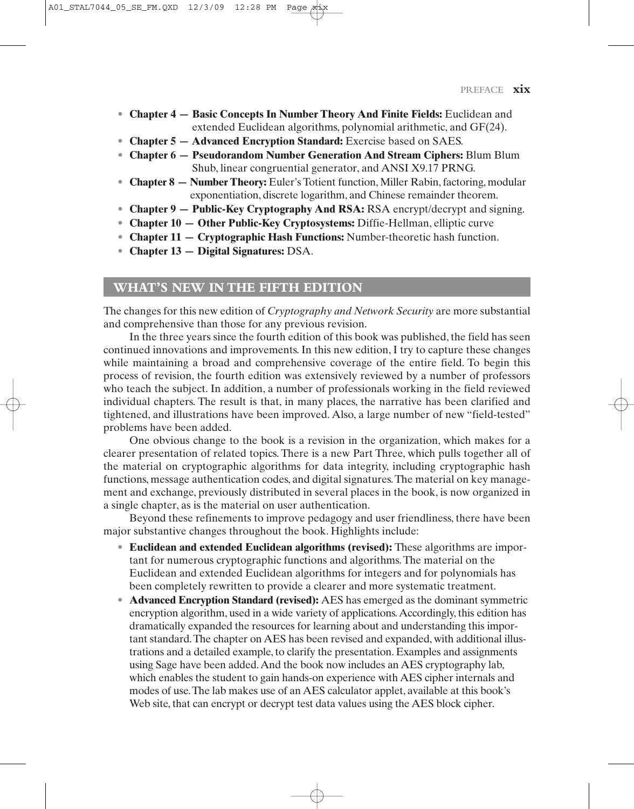- **Chapter 4 Basic Concepts In Number Theory And Finite Fields:** Euclidean and extended Euclidean algorithms, polynomial arithmetic, and GF(24).
- **Chapter 5 Advanced Encryption Standard:** Exercise based on SAES.
- **Chapter 6 Pseudorandom Number Generation And Stream Ciphers:** Blum Blum Shub, linear congruential generator, and ANSI X9.17 PRNG.
- **Chapter 8 Number Theory:** Euler's Totient function, Miller Rabin, factoring, modular exponentiation, discrete logarithm, and Chinese remainder theorem.
- **Chapter 9 Public-Key Cryptography And RSA:** RSA encrypt/decrypt and signing.
- **Chapter 10 Other Public-Key Cryptosystems:** Diffie-Hellman, elliptic curve
- **Chapter 11 Cryptographic Hash Functions:** Number-theoretic hash function.
- **Chapter 13 Digital Signatures:** DSA.

# **WHAT'S NEW IN THE FIFTH EDITION**

The changes for this new edition of *Cryptography and Network Security* are more substantial and comprehensive than those for any previous revision.

In the three years since the fourth edition of this book was published, the field has seen continued innovations and improvements. In this new edition, I try to capture these changes while maintaining a broad and comprehensive coverage of the entire field. To begin this process of revision, the fourth edition was extensively reviewed by a number of professors who teach the subject. In addition, a number of professionals working in the field reviewed individual chapters. The result is that, in many places, the narrative has been clarified and tightened, and illustrations have been improved. Also, a large number of new "field-tested" problems have been added.

One obvious change to the book is a revision in the organization, which makes for a clearer presentation of related topics. There is a new Part Three, which pulls together all of the material on cryptographic algorithms for data integrity, including cryptographic hash functions, message authentication codes, and digital signatures.The material on key management and exchange, previously distributed in several places in the book, is now organized in a single chapter, as is the material on user authentication.

Beyond these refinements to improve pedagogy and user friendliness, there have been major substantive changes throughout the book. Highlights include:

- **Euclidean and extended Euclidean algorithms (revised):** These algorithms are important for numerous cryptographic functions and algorithms. The material on the Euclidean and extended Euclidean algorithms for integers and for polynomials has been completely rewritten to provide a clearer and more systematic treatment.
- **Advanced Encryption Standard (revised):** AES has emerged as the dominant symmetric encryption algorithm, used in a wide variety of applications.Accordingly, this edition has dramatically expanded the resources for learning about and understanding this important standard.The chapter on AES has been revised and expanded, with additional illustrations and a detailed example, to clarify the presentation. Examples and assignments using Sage have been added.And the book now includes an AES cryptography lab, which enables the student to gain hands-on experience with AES cipher internals and modes of use.The lab makes use of an AES calculator applet, available at this book's Web site, that can encrypt or decrypt test data values using the AES block cipher.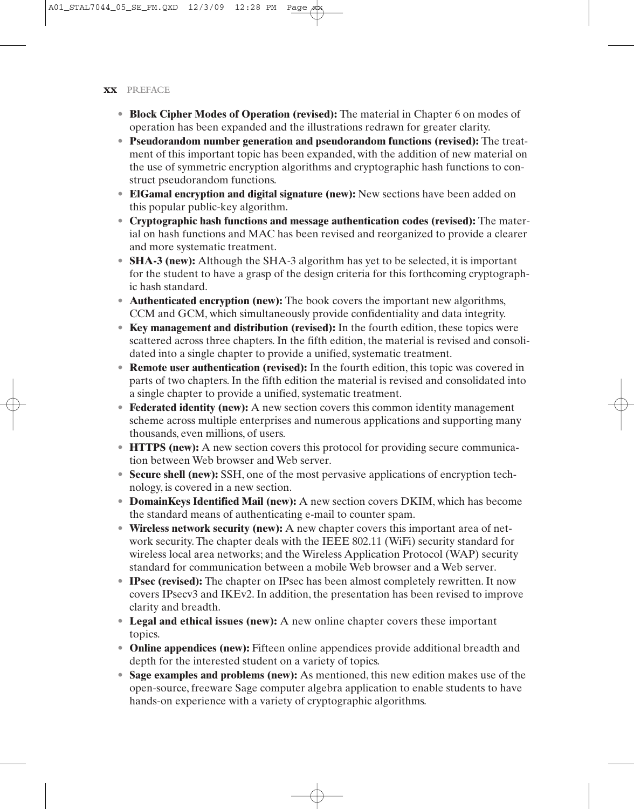#### **xx PREFACE**

- **Block Cipher Modes of Operation (revised):** The material in Chapter 6 on modes of operation has been expanded and the illustrations redrawn for greater clarity.
- **Pseudorandom number generation and pseudorandom functions (revised):** The treatment of this important topic has been expanded, with the addition of new material on the use of symmetric encryption algorithms and cryptographic hash functions to construct pseudorandom functions.
- **ElGamal encryption and digital signature (new):** New sections have been added on this popular public-key algorithm.
- **Cryptographic hash functions and message authentication codes (revised):** The material on hash functions and MAC has been revised and reorganized to provide a clearer and more systematic treatment.
- **SHA-3 (new):** Although the SHA-3 algorithm has yet to be selected, it is important for the student to have a grasp of the design criteria for this forthcoming cryptographic hash standard.
- **Authenticated encryption (new):** The book covers the important new algorithms, CCM and GCM, which simultaneously provide confidentiality and data integrity.
- **Key management and distribution (revised):** In the fourth edition, these topics were scattered across three chapters. In the fifth edition, the material is revised and consolidated into a single chapter to provide a unified, systematic treatment.
- **Remote user authentication (revised):** In the fourth edition, this topic was covered in parts of two chapters. In the fifth edition the material is revised and consolidated into a single chapter to provide a unified, systematic treatment.
- **Federated identity (new):** A new section covers this common identity management scheme across multiple enterprises and numerous applications and supporting many thousands, even millions, of users.
- **HTTPS (new):** A new section covers this protocol for providing secure communication between Web browser and Web server.
- **Secure shell (new):** SSH, one of the most pervasive applications of encryption technology, is covered in a new section.
- **DomainKeys Identified Mail (new):** A new section covers DKIM, which has become the standard means of authenticating e-mail to counter spam.
- **Wireless network security (new):** A new chapter covers this important area of network security. The chapter deals with the IEEE 802.11 (WiFi) security standard for wireless local area networks; and the Wireless Application Protocol (WAP) security standard for communication between a mobile Web browser and a Web server.
- **IPsec (revised):** The chapter on IPsec has been almost completely rewritten. It now covers IPsecv3 and IKEv2. In addition, the presentation has been revised to improve clarity and breadth.
- **Legal and ethical issues (new):** A new online chapter covers these important topics.
- **Online appendices (new):** Fifteen online appendices provide additional breadth and depth for the interested student on a variety of topics.
- **Sage examples and problems (new):** As mentioned, this new edition makes use of the open-source, freeware Sage computer algebra application to enable students to have hands-on experience with a variety of cryptographic algorithms.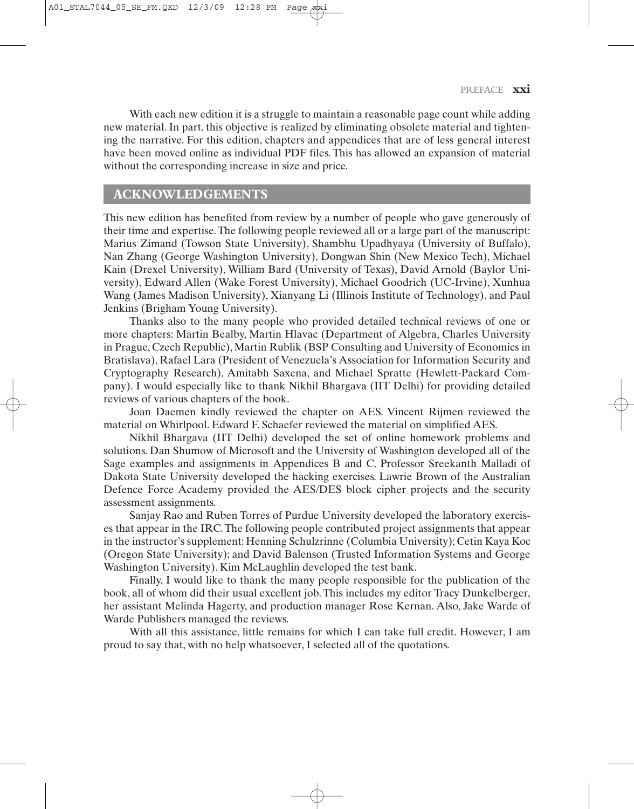With each new edition it is a struggle to maintain a reasonable page count while adding new material. In part, this objective is realized by eliminating obsolete material and tightening the narrative. For this edition, chapters and appendices that are of less general interest have been moved online as individual PDF files. This has allowed an expansion of material without the corresponding increase in size and price.

#### **ACKNOWLEDGEMENTS**

This new edition has benefited from review by a number of people who gave generously of their time and expertise.The following people reviewed all or a large part of the manuscript: Marius Zimand (Towson State University), Shambhu Upadhyaya (University of Buffalo), Nan Zhang (George Washington University), Dongwan Shin (New Mexico Tech), Michael Kain (Drexel University), William Bard (University of Texas), David Arnold (Baylor University), Edward Allen (Wake Forest University), Michael Goodrich (UC-Irvine), Xunhua Wang (James Madison University), Xianyang Li (Illinois Institute of Technology), and Paul Jenkins (Brigham Young University).

Thanks also to the many people who provided detailed technical reviews of one or more chapters: Martin Bealby, Martin Hlavac (Department of Algebra, Charles University in Prague, Czech Republic), Martin Rublik (BSP Consulting and University of Economics in Bratislava), Rafael Lara (President of Venezuela's Association for Information Security and Cryptography Research), Amitabh Saxena, and Michael Spratte (Hewlett-Packard Company). I would especially like to thank Nikhil Bhargava (IIT Delhi) for providing detailed reviews of various chapters of the book.

Joan Daemen kindly reviewed the chapter on AES. Vincent Rijmen reviewed the material on Whirlpool. Edward F. Schaefer reviewed the material on simplified AES.

Nikhil Bhargava (IIT Delhi) developed the set of online homework problems and solutions. Dan Shumow of Microsoft and the University of Washington developed all of the Sage examples and assignments in Appendices B and C. Professor Sreekanth Malladi of Dakota State University developed the hacking exercises. Lawrie Brown of the Australian Defence Force Academy provided the AES/DES block cipher projects and the security assessment assignments.

Sanjay Rao and Ruben Torres of Purdue University developed the laboratory exercises that appear in the IRC.The following people contributed project assignments that appear in the instructor's supplement: Henning Schulzrinne (Columbia University); Cetin Kaya Koc (Oregon State University); and David Balenson (Trusted Information Systems and George Washington University). Kim McLaughlin developed the test bank.

Finally, I would like to thank the many people responsible for the publication of the book, all of whom did their usual excellent job. This includes my editor Tracy Dunkelberger, her assistant Melinda Hagerty, and production manager Rose Kernan. Also, Jake Warde of Warde Publishers managed the reviews.

With all this assistance, little remains for which I can take full credit. However, I am proud to say that, with no help whatsoever, I selected all of the quotations.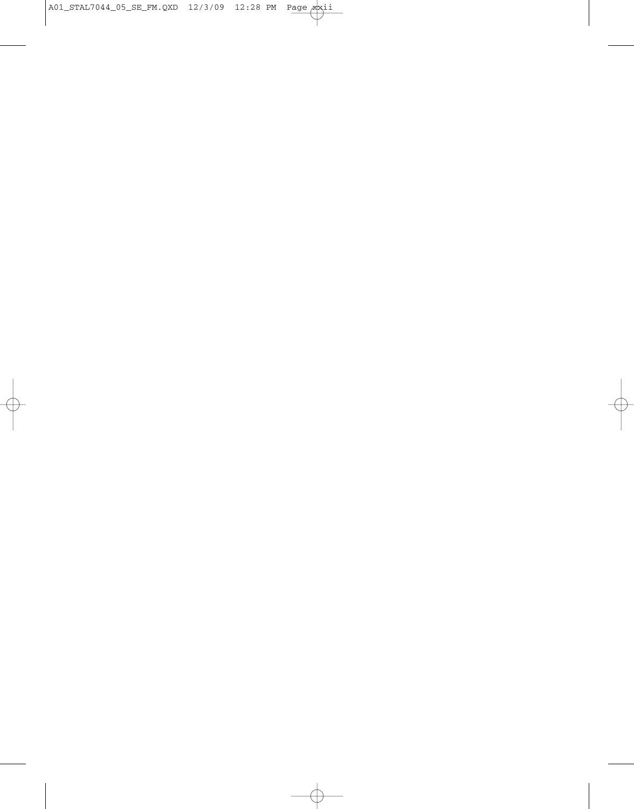$\left.\begin{array}{ccc} \texttt{A01\_STAL7044\_05\_SE\_FM,QXD} & \texttt{12/3/09} & \texttt{12:28 PM} & \texttt{Page Axii} \end{array}\right.$ 

 $\overline{\bigoplus}$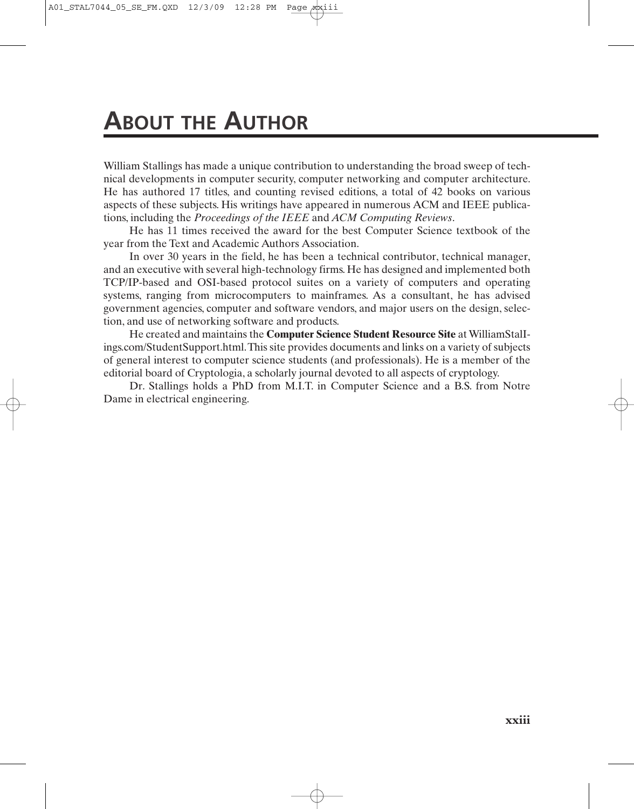# **ABOUT THE AUTHOR**

William Stallings has made a unique contribution to understanding the broad sweep of technical developments in computer security, computer networking and computer architecture. He has authored 17 titles, and counting revised editions, a total of 42 books on various aspects of these subjects. His writings have appeared in numerous ACM and IEEE publications, including the *Proceedings of the IEEE* and *ACM Computing Reviews*.

He has 11 times received the award for the best Computer Science textbook of the year from the Text and Academic Authors Association.

In over 30 years in the field, he has been a technical contributor, technical manager, and an executive with several high-technology firms. He has designed and implemented both TCP/IP-based and OSI-based protocol suites on a variety of computers and operating systems, ranging from microcomputers to mainframes. As a consultant, he has advised government agencies, computer and software vendors, and major users on the design, selection, and use of networking software and products.

He created and maintains the **Computer Science Student Resource Site** at WilliamStalIings.com/StudentSupport.html.This site provides documents and links on a variety of subjects of general interest to computer science students (and professionals). He is a member of the editorial board of Cryptologia, a scholarly journal devoted to all aspects of cryptology.

Dr. Stallings holds a PhD from M.I.T. in Computer Science and a B.S. from Notre Dame in electrical engineering.